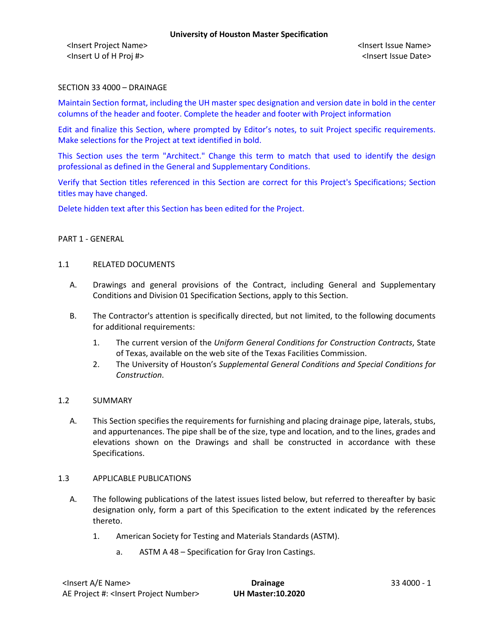## SECTION 33 4000 – DRAINAGE

Maintain Section format, including the UH master spec designation and version date in bold in the center columns of the header and footer. Complete the header and footer with Project information

Edit and finalize this Section, where prompted by Editor's notes, to suit Project specific requirements. Make selections for the Project at text identified in bold.

This Section uses the term "Architect." Change this term to match that used to identify the design professional as defined in the General and Supplementary Conditions.

Verify that Section titles referenced in this Section are correct for this Project's Specifications; Section titles may have changed.

Delete hidden text after this Section has been edited for the Project.

### PART 1 - GENERAL

#### 1.1 RELATED DOCUMENTS

- A. Drawings and general provisions of the Contract, including General and Supplementary Conditions and Division 01 Specification Sections, apply to this Section.
- B. The Contractor's attention is specifically directed, but not limited, to the following documents for additional requirements:
	- 1. The current version of the *Uniform General Conditions for Construction Contracts*, State of Texas, available on the web site of the Texas Facilities Commission.
	- 2. The University of Houston's *Supplemental General Conditions and Special Conditions for Construction*.

### 1.2 SUMMARY

A. This Section specifies the requirements for furnishing and placing drainage pipe, laterals, stubs, and appurtenances. The pipe shall be of the size, type and location, and to the lines, grades and elevations shown on the Drawings and shall be constructed in accordance with these Specifications.

### 1.3 APPLICABLE PUBLICATIONS

- A. The following publications of the latest issues listed below, but referred to thereafter by basic designation only, form a part of this Specification to the extent indicated by the references thereto.
	- 1. American Society for Testing and Materials Standards (ASTM).
		- a. ASTM A 48 Specification for Gray Iron Castings.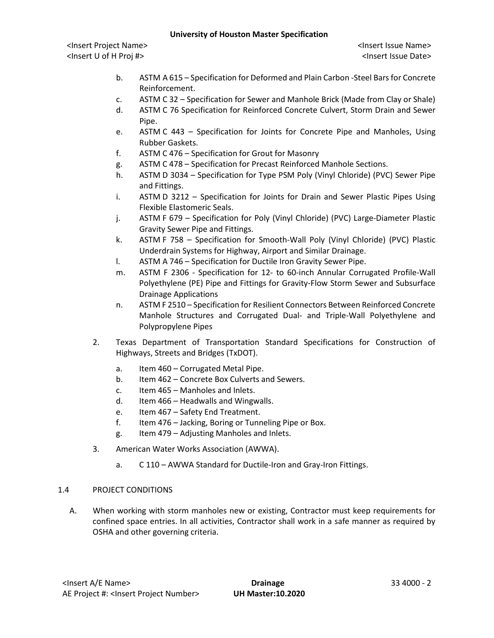## **University of Houston Master Specification**

<Insert Project Name> <Insert Issue Name> <Insert U of H Proj #> <Insert Issue Date>

- b. ASTM A 615 Specification for Deformed and Plain Carbon -Steel Bars for Concrete Reinforcement.
- c. ASTM C 32 Specification for Sewer and Manhole Brick (Made from Clay or Shale)
- d. ASTM C 76 Specification for Reinforced Concrete Culvert, Storm Drain and Sewer Pipe.
- e. ASTM C 443 Specification for Joints for Concrete Pipe and Manholes, Using Rubber Gaskets.
- f. ASTM C 476 Specification for Grout for Masonry
- g. ASTM C 478 Specification for Precast Reinforced Manhole Sections.
- h. ASTM D 3034 Specification for Type PSM Poly (Vinyl Chloride) (PVC) Sewer Pipe and Fittings.
- i. ASTM D 3212 Specification for Joints for Drain and Sewer Plastic Pipes Using Flexible Elastomeric Seals.
- j. ASTM F 679 Specification for Poly (Vinyl Chloride) (PVC) Large-Diameter Plastic Gravity Sewer Pipe and Fittings.
- k. ASTM F 758 Specification for Smooth-Wall Poly (Vinyl Chloride) (PVC) Plastic Underdrain Systems for Highway, Airport and Similar Drainage.
- l. ASTM A 746 Specification for Ductile Iron Gravity Sewer Pipe.
- m. ASTM F 2306 Specification for 12- to 60-inch Annular Corrugated Profile-Wall Polyethylene (PE) Pipe and Fittings for Gravity-Flow Storm Sewer and Subsurface Drainage Applications
- n. ASTM F 2510 Specification for Resilient Connectors Between Reinforced Concrete Manhole Structures and Corrugated Dual- and Triple-Wall Polyethylene and Polypropylene Pipes
- 2. Texas Department of Transportation Standard Specifications for Construction of Highways, Streets and Bridges (TxDOT).
	- a. Item 460 Corrugated Metal Pipe.
	- b. Item 462 Concrete Box Culverts and Sewers.
	- c. Item 465 Manholes and Inlets.
	- d. Item 466 Headwalls and Wingwalls.
	- e. Item 467 Safety End Treatment.
	- f. Item 476 Jacking, Boring or Tunneling Pipe or Box.
	- g. Item 479 Adjusting Manholes and Inlets.
- 3. American Water Works Association (AWWA).
	- a. C 110 AWWA Standard for Ductile-Iron and Gray-Iron Fittings.

# 1.4 PROJECT CONDITIONS

A. When working with storm manholes new or existing, Contractor must keep requirements for confined space entries. In all activities, Contractor shall work in a safe manner as required by OSHA and other governing criteria.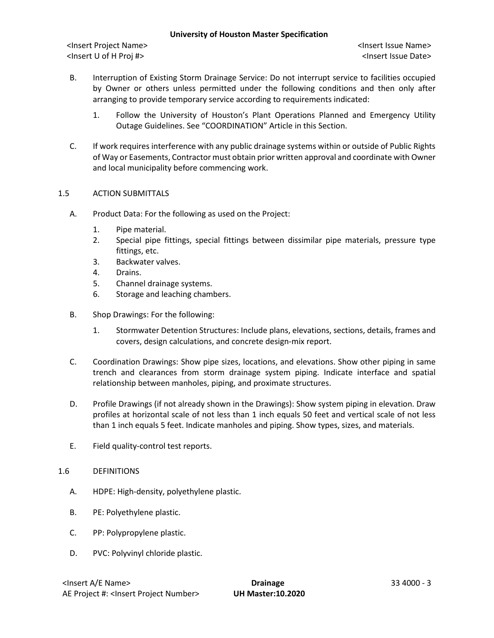## **University of Houston Master Specification**

<Insert Project Name> <Insert Issue Name> <Insert U of H Proj #> <Insert Issue Date>

- B. Interruption of Existing Storm Drainage Service: Do not interrupt service to facilities occupied by Owner or others unless permitted under the following conditions and then only after arranging to provide temporary service according to requirements indicated:
	- 1. Follow the University of Houston's Plant Operations Planned and Emergency Utility Outage Guidelines. See "COORDINATION" Article in this Section.
- C. If work requires interference with any public drainage systems within or outside of Public Rights of Way or Easements, Contractor must obtain prior written approval and coordinate with Owner and local municipality before commencing work.

## 1.5 ACTION SUBMITTALS

- A. Product Data: For the following as used on the Project:
	- 1. Pipe material.
	- 2. Special pipe fittings, special fittings between dissimilar pipe materials, pressure type fittings, etc.
	- 3. Backwater valves.
	- 4. Drains.
	- 5. Channel drainage systems.
	- 6. Storage and leaching chambers.
- B. Shop Drawings: For the following:
	- 1. Stormwater Detention Structures: Include plans, elevations, sections, details, frames and covers, design calculations, and concrete design-mix report.
- C. Coordination Drawings: Show pipe sizes, locations, and elevations. Show other piping in same trench and clearances from storm drainage system piping. Indicate interface and spatial relationship between manholes, piping, and proximate structures.
- D. Profile Drawings (if not already shown in the Drawings): Show system piping in elevation. Draw profiles at horizontal scale of not less than 1 inch equals 50 feet and vertical scale of not less than 1 inch equals 5 feet. Indicate manholes and piping. Show types, sizes, and materials.
- E. Field quality-control test reports.

### 1.6 DEFINITIONS

- A. HDPE: High-density, polyethylene plastic.
- B. PE: Polyethylene plastic.
- C. PP: Polypropylene plastic.
- D. PVC: Polyvinyl chloride plastic.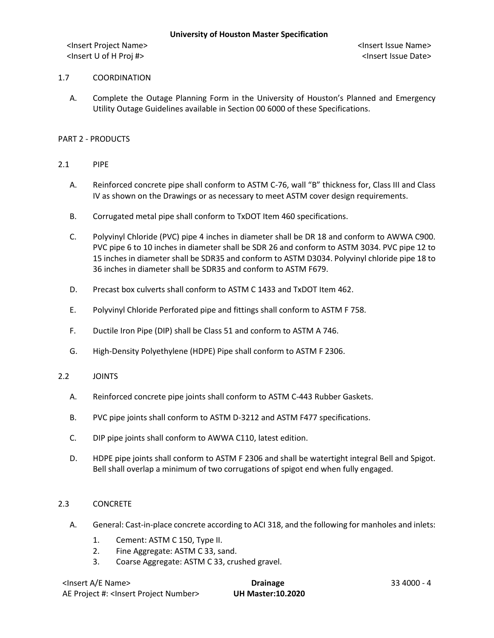## 1.7 COORDINATION

A. Complete the Outage Planning Form in the University of Houston's Planned and Emergency Utility Outage Guidelines available in Section 00 6000 of these Specifications.

## PART 2 - PRODUCTS

- 2.1 PIPE
	- A. Reinforced concrete pipe shall conform to ASTM C-76, wall "B" thickness for, Class III and Class IV as shown on the Drawings or as necessary to meet ASTM cover design requirements.
	- B. Corrugated metal pipe shall conform to TxDOT Item 460 specifications.
	- C. Polyvinyl Chloride (PVC) pipe 4 inches in diameter shall be DR 18 and conform to AWWA C900. PVC pipe 6 to 10 inches in diameter shall be SDR 26 and conform to ASTM 3034. PVC pipe 12 to 15 inches in diameter shall be SDR35 and conform to ASTM D3034. Polyvinyl chloride pipe 18 to 36 inches in diameter shall be SDR35 and conform to ASTM F679.
	- D. Precast box culverts shall conform to ASTM C 1433 and TxDOT Item 462.
	- E. Polyvinyl Chloride Perforated pipe and fittings shall conform to ASTM F 758.
	- F. Ductile Iron Pipe (DIP) shall be Class 51 and conform to ASTM A 746.
	- G. High-Density Polyethylene (HDPE) Pipe shall conform to ASTM F 2306.

### 2.2 JOINTS

- A. Reinforced concrete pipe joints shall conform to ASTM C-443 Rubber Gaskets.
- B. PVC pipe joints shall conform to ASTM D-3212 and ASTM F477 specifications.
- C. DIP pipe joints shall conform to AWWA C110, latest edition.
- D. HDPE pipe joints shall conform to ASTM F 2306 and shall be watertight integral Bell and Spigot. Bell shall overlap a minimum of two corrugations of spigot end when fully engaged.

### 2.3 CONCRETE

- A. General: Cast-in-place concrete according to ACI 318, and the following for manholes and inlets:
	- 1. Cement: ASTM C 150, Type II.
	- 2. Fine Aggregate: ASTM C 33, sand.
	- 3. Coarse Aggregate: ASTM C 33, crushed gravel.

| <insert a="" e="" name=""></insert>                  | <b>Drainage</b>          | 33 4000 - 4 |
|------------------------------------------------------|--------------------------|-------------|
| AE Project #: <lnsert number="" project=""></lnsert> | <b>UH Master:10.2020</b> |             |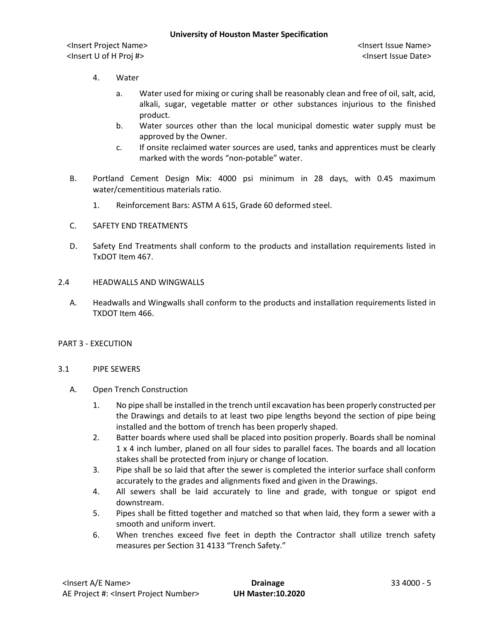- 4. Water
	- a. Water used for mixing or curing shall be reasonably clean and free of oil, salt, acid, alkali, sugar, vegetable matter or other substances injurious to the finished product.
	- b. Water sources other than the local municipal domestic water supply must be approved by the Owner.
	- c. If onsite reclaimed water sources are used, tanks and apprentices must be clearly marked with the words "non-potable" water.
- B. Portland Cement Design Mix: 4000 psi minimum in 28 days, with 0.45 maximum water/cementitious materials ratio.
	- 1. Reinforcement Bars: ASTM A 615, Grade 60 deformed steel.
- C. SAFETY END TREATMENTS
- D. Safety End Treatments shall conform to the products and installation requirements listed in TxDOT Item 467.
- 2.4 HEADWALLS AND WINGWALLS
	- A. Headwalls and Wingwalls shall conform to the products and installation requirements listed in TXDOT Item 466.
- PART 3 EXECUTION

### 3.1 PIPE SEWERS

- A. Open Trench Construction
	- 1. No pipe shall be installed in the trench until excavation has been properly constructed per the Drawings and details to at least two pipe lengths beyond the section of pipe being installed and the bottom of trench has been properly shaped.
	- 2. Batter boards where used shall be placed into position properly. Boards shall be nominal 1 x 4 inch lumber, planed on all four sides to parallel faces. The boards and all location stakes shall be protected from injury or change of location.
	- 3. Pipe shall be so laid that after the sewer is completed the interior surface shall conform accurately to the grades and alignments fixed and given in the Drawings.
	- 4. All sewers shall be laid accurately to line and grade, with tongue or spigot end downstream.
	- 5. Pipes shall be fitted together and matched so that when laid, they form a sewer with a smooth and uniform invert.
	- 6. When trenches exceed five feet in depth the Contractor shall utilize trench safety measures per Section 31 4133 "Trench Safety."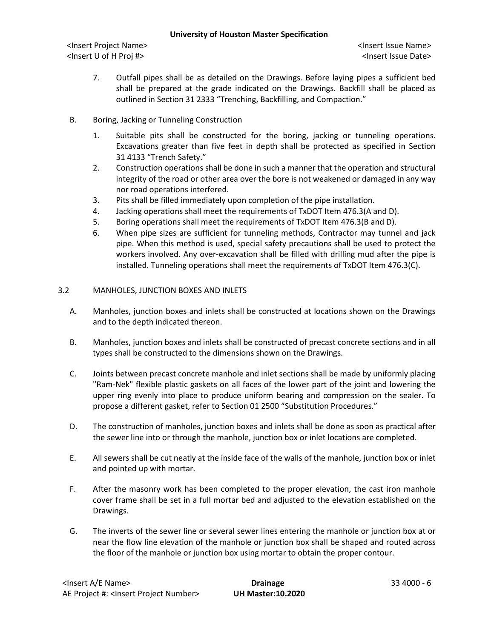## **University of Houston Master Specification**

<Insert Project Name> <Insert Issue Name> <Insert U of H Proj #> <Insert Issue Date>

- 7. Outfall pipes shall be as detailed on the Drawings. Before laying pipes a sufficient bed shall be prepared at the grade indicated on the Drawings. Backfill shall be placed as outlined in Section 31 2333 "Trenching, Backfilling, and Compaction."
- B. Boring, Jacking or Tunneling Construction
	- 1. Suitable pits shall be constructed for the boring, jacking or tunneling operations. Excavations greater than five feet in depth shall be protected as specified in Section 31 4133 "Trench Safety."
	- 2. Construction operations shall be done in such a manner that the operation and structural integrity of the road or other area over the bore is not weakened or damaged in any way nor road operations interfered.
	- 3. Pits shall be filled immediately upon completion of the pipe installation.
	- 4. Jacking operations shall meet the requirements of TxDOT Item 476.3(A and D).
	- 5. Boring operations shall meet the requirements of TxDOT Item 476.3(B and D).
	- 6. When pipe sizes are sufficient for tunneling methods, Contractor may tunnel and jack pipe. When this method is used, special safety precautions shall be used to protect the workers involved. Any over-excavation shall be filled with drilling mud after the pipe is installed. Tunneling operations shall meet the requirements of TxDOT Item 476.3(C).

## 3.2 MANHOLES, JUNCTION BOXES AND INLETS

- A. Manholes, junction boxes and inlets shall be constructed at locations shown on the Drawings and to the depth indicated thereon.
- B. Manholes, junction boxes and inlets shall be constructed of precast concrete sections and in all types shall be constructed to the dimensions shown on the Drawings.
- C. Joints between precast concrete manhole and inlet sections shall be made by uniformly placing "Ram-Nek" flexible plastic gaskets on all faces of the lower part of the joint and lowering the upper ring evenly into place to produce uniform bearing and compression on the sealer. To propose a different gasket, refer to Section 01 2500 "Substitution Procedures."
- D. The construction of manholes, junction boxes and inlets shall be done as soon as practical after the sewer line into or through the manhole, junction box or inlet locations are completed.
- E. All sewers shall be cut neatly at the inside face of the walls of the manhole, junction box or inlet and pointed up with mortar.
- F. After the masonry work has been completed to the proper elevation, the cast iron manhole cover frame shall be set in a full mortar bed and adjusted to the elevation established on the Drawings.
- G. The inverts of the sewer line or several sewer lines entering the manhole or junction box at or near the flow line elevation of the manhole or junction box shall be shaped and routed across the floor of the manhole or junction box using mortar to obtain the proper contour.